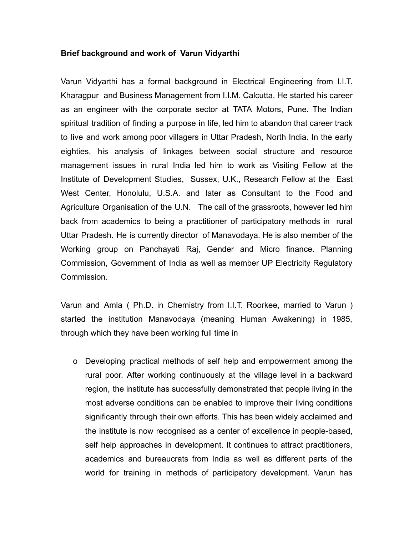## **Brief background and work of Varun Vidyarthi**

Varun Vidyarthi has a formal background in Electrical Engineering from I.I.T. Kharagpur and Business Management from I.I.M. Calcutta. He started his career as an engineer with the corporate sector at TATA Motors, Pune. The Indian spiritual tradition of finding a purpose in life, led him to abandon that career track to live and work among poor villagers in Uttar Pradesh, North India. In the early eighties, his analysis of linkages between social structure and resource management issues in rural India led him to work as Visiting Fellow at the Institute of Development Studies, Sussex, U.K., Research Fellow at the East West Center, Honolulu, U.S.A. and later as Consultant to the Food and Agriculture Organisation of the U.N. The call of the grassroots, however led him back from academics to being a practitioner of participatory methods in rural Uttar Pradesh. He is currently director of Manavodaya. He is also member of the Working group on Panchayati Raj, Gender and Micro finance. Planning Commission, Government of India as well as member UP Electricity Regulatory Commission.

Varun and Amla ( Ph.D. in Chemistry from I.I.T. Roorkee, married to Varun ) started the institution Manavodaya (meaning Human Awakening) in 1985, through which they have been working full time in

o Developing practical methods of self help and empowerment among the rural poor. After working continuously at the village level in a backward region, the institute has successfully demonstrated that people living in the most adverse conditions can be enabled to improve their living conditions significantly through their own efforts. This has been widely acclaimed and the institute is now recognised as a center of excellence in people-based, self help approaches in development. It continues to attract practitioners, academics and bureaucrats from India as well as different parts of the world for training in methods of participatory development. Varun has